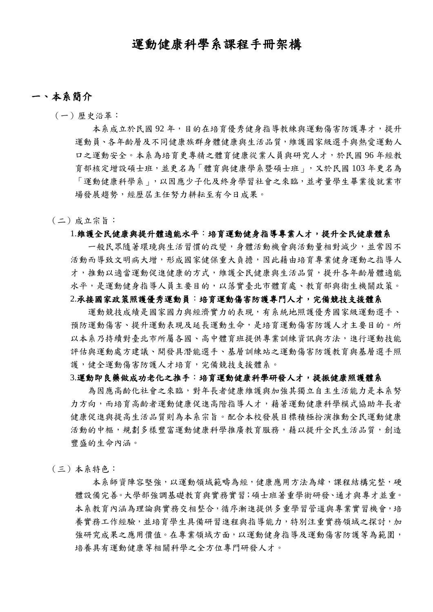# 運動健康科學系課程手冊架構

### 一、本系簡介

(一)歷史沿革:

本系成立於民國92年,目的在培育優秀健身指導教練與運動傷害防護專才,提升 運動員、各年齡層及不同健康族群身體健康與生活品質,維護國家級選手與熱愛運動人 口之運動安全。本系為培育更專精之體育健康從業人員與研究人才,於民國 96 年經教 育部核定增設碩士班,並更名為「體育與健康學系暨碩士班」,又於民國 103 年更名為 「運動健康科學系」,以因應少子化及終身學習社會之來臨,並考量學生畢業後就業市 場發展趨勢,經歷屆主任努力耕耘至有今日成果。

#### (二)成立宗旨:

#### 1.維護全民健康與提升體適能水平:培育運動健身指導專業人才,提升全民健康體系

 一般民眾隨著環璄與生活習慣的改變,身體活動機會與活動量相對減少,並常因不 活動而導致文明病大增,形成國家健保重大負擔,因此藉由培育專業健身運動之指導人 才,推動以適當運動促進健康的方式,維護全民健康與生活品質,提升各年齡層體適能 水平,是運動健身指導人員主要目的,以落實臺北市體育處、教育部與衛生機關政策。

#### 2.承接國家政策照護優秀運動員:培育運動傷害防護專門人才,完備競技支援體系

運動競技成績是國家國力與經濟實力的表現,有系統地照護優秀國家級運動選手、 預防運動傷害、提升運動表現及延長運動生命,是培育運動傷害防護人才主要目的。所 以本系乃持續對臺北市所屬各國、高中體育班提供專業訓練資訊與方法,進行運動技能 評估與運動處方建議、開發具潛能選手、基層訓練站之運動傷害防護教育與基層選手照 護,健全運動傷害防護人才培育,完備競技支援體系。

### 3.運動即良藥做成功老化之推手:培育運動健康科學研發人才,提振健康照護體系

 為因應高齡化社會之來臨,對年長者健康維護與加強其獨立自主生活能力是本系努 力方向,而培育高齡者運動健康指導人才,藉著運動健康科學模式協助年長者 健康促進與提高生活品質則為本系宗旨。配合本校發展目標積極扮演推動全民運動健康 活動的中樞,規劃多樣豐富運動健康科學推廣教育服務,藉以提升全民生活品質,創造 豐盛的生命內涵。

(三)本系特色:

本系師資陣容堅強,以運動領域範疇為經,健康應用方法為緯,課程結構完整,硬 體設備完善。大學部強調基礎教育與實務實習;碩士班著重學術研發、通才與專才並重。 本系教育內涵為理論與實務交相整合,循序漸進提供多重學習管道與專業實習機會,培 養實務工作經驗,並培育學生具備研習進程與指導能力,特別注重實務領域之探討,加 強研究成果之應用價值。在專業領域方面,以運動健身指導及運動傷害防護等為範圍, 培養具有運動健康等相關科學之全方位專門研發人才。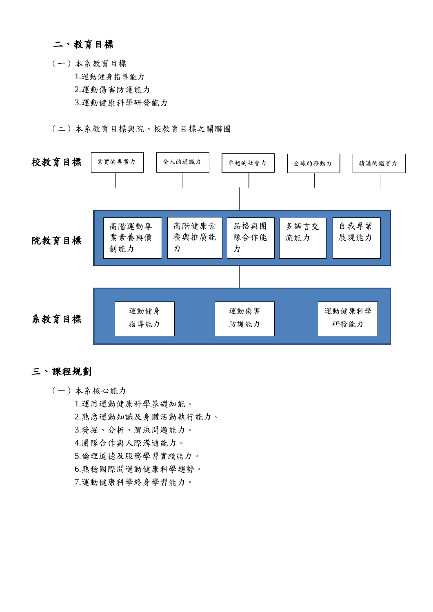## 二、教育目標

(一)本系教育目標 1.運動健身指導能力 2.運動傷害防護能力 3.運動健康科學研發能力

(二)本系教育目標與院、校教育目標之關聯圖



### 三、課程規劃

(一)本系核心能力

 1.運用運動健康科學基礎知能。 2.熟悉運動知識及身體活動執行能力。 3.發掘、分析、解決問題能力。 4.團隊合作與人際溝通能力。 5.倫理道德及服務學習實踐能力。 6.熟稔國際間運動健康科學趨勢。 7.運動健康科學終身學習能力。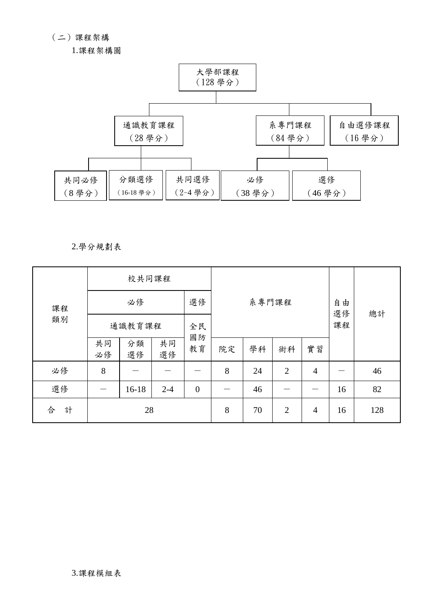(二)課程架構

1.課程架構圖



### 2.學分規劃表

|        | 校共同課程    |          |          |                  |    |       |                |                |    |     |  |  |
|--------|----------|----------|----------|------------------|----|-------|----------------|----------------|----|-----|--|--|
| 課程     | 必修       |          |          | 選修               |    | 系專門課程 |                | 由<br>自<br>選修   | 總計 |     |  |  |
| 類別     | 通識教育課程   |          |          | 全民               |    | 課程    |                |                |    |     |  |  |
|        | 共同<br>必修 | 分類<br>選修 | 共同<br>選修 | 國防<br>教育         | 院定 | 學科    | 術科             | 實習             |    |     |  |  |
| 必修     | 8        |          |          |                  | 8  | 24    | $\overline{2}$ | $\overline{4}$ |    | 46  |  |  |
| 選修     |          | $16-18$  | $2 - 4$  | $\boldsymbol{0}$ |    | 46    |                |                | 16 | 82  |  |  |
| 計<br>合 |          | 28       |          |                  | 8  | 70    | $\overline{2}$ | $\overline{4}$ | 16 | 128 |  |  |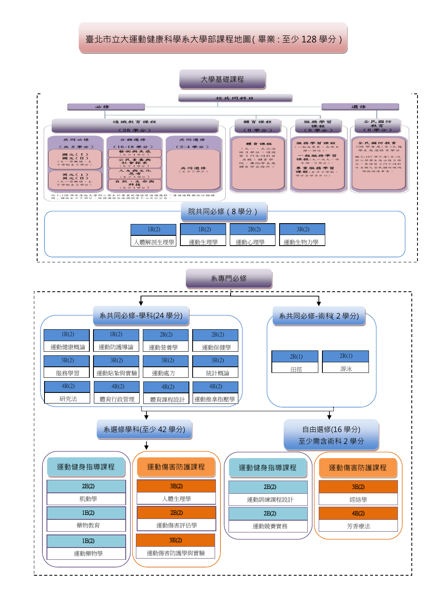## 臺北市立大運動健康科學系大學部課程地圖(畢業:至少 128 學分)

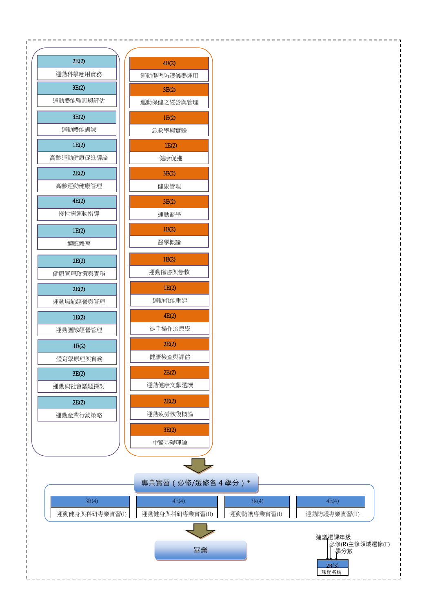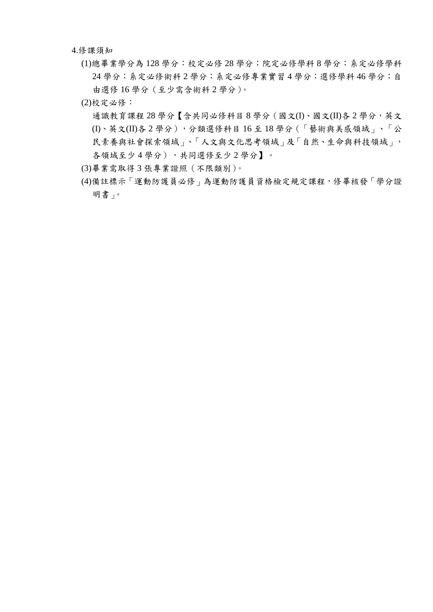4.修課須知

- (1)總畢業學分為 128 學分:校定必修 28 學分;院定必修學科 8 學分;系定必修學科 24 學分;系定必修術科 2 學分;系定必修專業實習 4 學分;選修學科 46 學分;自 由選修 16 學分(至少需含術科 2 學分)。
- (2)校定必修:

通識教育課程 28 學分【含共同必修科目 8 學分 (國文(I)、國文(II)各 2 學分, 英文 (I)、英文(II)各 2 學分),分類選修科目 16 至 18 學分(「藝術與美感領域」、「公 民素養與社會探索領域」、「人文與文化思考領域」及「自然、生命與科技領域」, 各領域至少4學分),共同選修至少2學分】。

- (3)畢業需取得 3 張專業證照(不限類別)。
- (4)備註標示「運動防護員必修」為運動防護員資格檢定規定課程,修畢核發「學分證 明書」。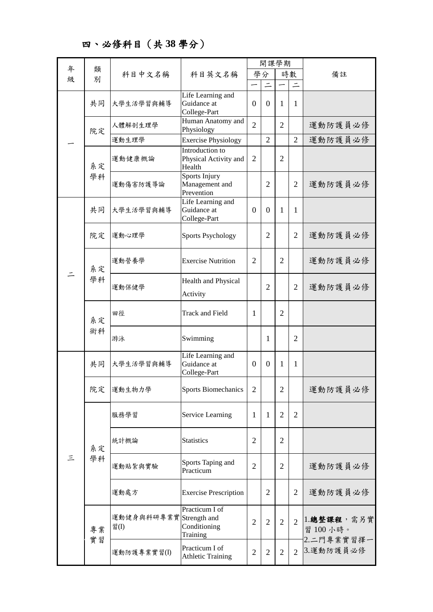四、必修科目(共 **38** 學分)

|   |          | 科目中文名稱                          | 科目英文名稱                                             | 開課學期           |                |                |                |                                         |
|---|----------|---------------------------------|----------------------------------------------------|----------------|----------------|----------------|----------------|-----------------------------------------|
| 年 | 類        |                                 |                                                    |                | 學分             |                | 時數             | 備註                                      |
| 級 | 別        |                                 |                                                    |                |                |                |                |                                         |
|   | 共同       | 大學生活學習與輔導                       | Life Learning and<br>Guidance at<br>College-Part   | $\overline{0}$ | $\theta$       | 1              | $\mathbf{1}$   |                                         |
|   | 院定       | 人體解剖生理學                         | Human Anatomy and<br>Physiology                    | $\overline{2}$ |                | 2              |                | 運動防護員必修                                 |
|   |          | 運動生理學                           | <b>Exercise Physiology</b>                         |                | $\overline{2}$ |                | $\overline{2}$ | 運動防護員必修                                 |
|   | 系定       | 運動健康概論                          | Introduction to<br>Physical Activity and<br>Health | $\overline{2}$ |                | $\overline{2}$ |                |                                         |
|   | 學科       | 運動傷害防護導論                        | Sports Injury<br>Management and<br>Prevention      |                | $\overline{2}$ |                | $\overline{2}$ | 運動防護員必修                                 |
|   | 共同       | 大學生活學習與輔導                       | Life Learning and<br>Guidance at<br>College-Part   | $\Omega$       | $\Omega$       | 1              | $\mathbf{1}$   |                                         |
|   | 院定       | 運動心理學                           | <b>Sports Psychology</b>                           |                | $\overline{2}$ |                | $\overline{2}$ | 運動防護員必修                                 |
|   | 系定<br>學科 | 運動營養學                           | <b>Exercise Nutrition</b>                          | $\overline{2}$ |                | $\overline{2}$ |                | 運動防護員必修                                 |
|   |          | 運動保健學                           | Health and Physical<br>Activity                    |                | $\overline{2}$ |                | $\overline{2}$ | 運動防護員必修                                 |
|   | 系定<br>術科 | 田徑                              | <b>Track and Field</b>                             | $\mathbf{1}$   |                | $\overline{2}$ |                |                                         |
|   |          | 游泳                              | Swimming                                           |                | 1              |                | $\overline{2}$ |                                         |
|   | 共同       | 大學生活學習與輔導                       | Life Learning and<br>Guidance at<br>College-Part   | $\overline{0}$ | $\Omega$       | 1              | 1              |                                         |
|   | 院定       | 運動生物力學                          | <b>Sports Biomechanics</b>                         | $\overline{2}$ |                | $\overline{2}$ |                | 運動防護員必修                                 |
|   |          | 服務學習                            | Service Learning                                   | $\mathbf{1}$   | 1              | $\overline{2}$ | $\overline{2}$ |                                         |
|   | 系定       | 統計概論                            | <b>Statistics</b>                                  | $\overline{2}$ |                | $\overline{2}$ |                |                                         |
| 三 | 學科       | 運動貼紮與實驗                         | Sports Taping and<br>Practicum                     | $\overline{2}$ |                | $\overline{2}$ |                | 運動防護員必修                                 |
|   |          | 運動處方                            | <b>Exercise Prescription</b>                       |                | $\overline{2}$ |                | $\overline{2}$ | 運動防護員必修                                 |
|   | 專業<br>實習 | 運動健身與科研專業實 Strength and<br>習(I) | Practicum I of<br>Conditioning<br>Training         | $\overline{2}$ | $\overline{2}$ | $\overline{2}$ | $\overline{2}$ | 1. 總整課程, 需另實<br>習 100 小時。<br>2.二門專業實習擇一 |
|   |          | 運動防護專業實習(I)                     | Practicum I of<br><b>Athletic Training</b>         | $\overline{2}$ | $\overline{2}$ | $\overline{2}$ | $\overline{2}$ | 3.運動防護員必修                               |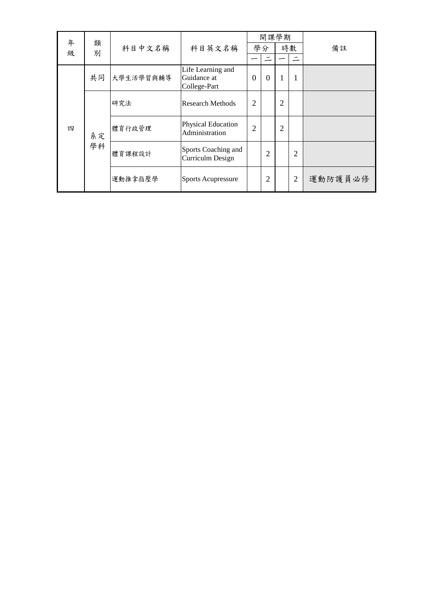| 年 | 類  |           |                                                  |                | 開課學期           |                |                |         |
|---|----|-----------|--------------------------------------------------|----------------|----------------|----------------|----------------|---------|
| 级 | 別  | 科目中文名稱    | 科目英文名稱                                           |                | 學分             |                | 時數             | 備註      |
|   |    |           |                                                  |                |                |                |                |         |
|   | 共同 | 大學生活學習與輔導 | Life Learning and<br>Guidance at<br>College-Part | $\overline{0}$ | $\theta$       |                | 1              |         |
|   |    | 研究法       | Research Methods                                 | $\overline{2}$ |                | $\overline{2}$ |                |         |
| 四 | 系定 | 體育行政管理    | Physical Education<br>Administration             | $\overline{2}$ |                | 2              |                |         |
|   | 學科 | 體育課程設計    | Sports Coaching and<br>Curriculm Design          |                | $\overline{2}$ |                | $\overline{2}$ |         |
|   |    | 運動推拿指壓學   | Sports Acupressure                               |                | 2              |                | $\overline{2}$ | 運動防護員必修 |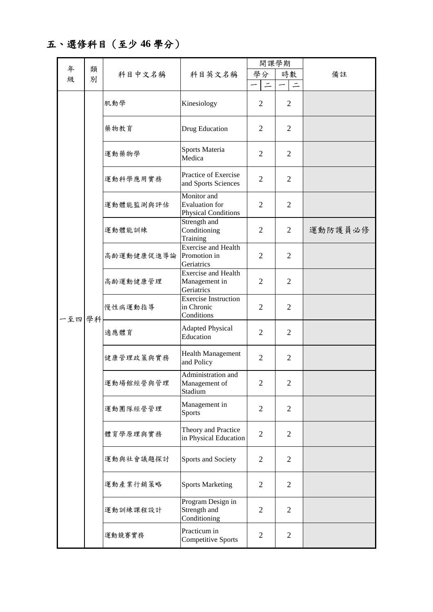五、選修科目(至少 **46** 學分)

|   |        |            |                                                                    | 開課學期           |                |         |
|---|--------|------------|--------------------------------------------------------------------|----------------|----------------|---------|
| 年 | 類      | 科目中文名稱     | 科目英文名稱                                                             | 學分             | 時數             | 備註      |
| 級 | 別      |            |                                                                    | $\equiv$       | $\equiv$       |         |
|   |        | 肌動學        | Kinesiology                                                        | $\overline{2}$ | $\overline{2}$ |         |
|   |        | 藥物教育       | Drug Education                                                     | 2              | $\overline{2}$ |         |
|   |        | 運動藥物學      | Sports Materia<br>Medica                                           | $\overline{2}$ | $\overline{2}$ |         |
|   |        | 運動科學應用實務   | Practice of Exercise<br>and Sports Sciences                        | $\overline{2}$ | $\overline{2}$ |         |
|   |        | 運動體能監測與評估  | Monitor and<br><b>Evaluation</b> for<br><b>Physical Conditions</b> | $\overline{2}$ | $\overline{2}$ |         |
|   |        | 運動體能訓練     | Strength and<br>Conditioning<br>Training                           | $\overline{2}$ | 2              | 運動防護員必修 |
|   | 一至四 學科 | 高齡運動健康促進導論 | <b>Exercise and Health</b><br>Promotion in<br>Geriatrics           | $\overline{2}$ | 2              |         |
|   |        | 高齢運動健康管理   | <b>Exercise and Health</b><br>Management in<br>Geriatrics          | 2              | 2              |         |
|   |        | 慢性病運動指導    | <b>Exercise Instruction</b><br>in Chronic<br>Conditions            | 2              | $\overline{2}$ |         |
|   |        | 適應體育       | <b>Adapted Physical</b><br>Education                               | $\overline{2}$ | $\overline{2}$ |         |
|   |        | 健康管理政策與實務  | <b>Health Management</b><br>and Policy                             | $\overline{2}$ | $\overline{2}$ |         |
|   |        | 運動場館經營與管理  | Administration and<br>Management of<br>Stadium                     | $\mathfrak{2}$ | $\overline{2}$ |         |
|   |        | 運動團隊經營管理   | Management in<br><b>Sports</b>                                     | $\overline{2}$ | $\overline{2}$ |         |
|   |        | 體育學原理與實務   | Theory and Practice<br>in Physical Education                       | $\overline{2}$ | $\overline{2}$ |         |
|   |        | 運動與社會議題探討  | Sports and Society                                                 | $\overline{2}$ | $\overline{2}$ |         |
|   |        | 運動產業行銷策略   | <b>Sports Marketing</b>                                            | $\overline{2}$ | $\overline{2}$ |         |
|   |        | 運動訓練課程設計   | Program Design in<br>Strength and<br>Conditioning                  | $\overline{2}$ | $\overline{2}$ |         |
|   |        | 運動競賽實務     | Practicum in<br><b>Competitive Sports</b>                          | $\overline{2}$ | $\overline{2}$ |         |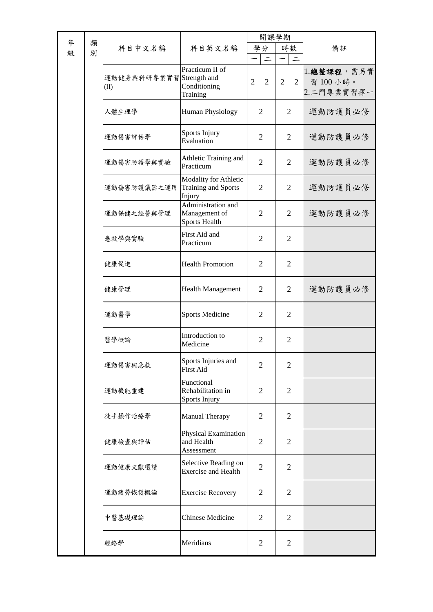|        |        |                                  |                                                             | 開課學期                             |                                  |                                       |  |
|--------|--------|----------------------------------|-------------------------------------------------------------|----------------------------------|----------------------------------|---------------------------------------|--|
| 年<br>級 | 類<br>別 | 科目中文名稱                           | 科目英文名稱                                                      | 學分<br>$\overline{\phantom{a}}$   | 時數                               | 備註                                    |  |
|        |        | 運動健身與科研專業實習 Strength and<br>(II) | Practicum II of<br>Conditioning<br>Training                 | $\overline{2}$<br>$\overline{2}$ | $\overline{2}$<br>$\overline{2}$ | 1.總整課程,需另實<br>習 100 小時。<br>2.二門專業實習擇一 |  |
|        |        | 人體生理學                            | Human Physiology                                            | 2                                | 2                                | 運動防護員必修                               |  |
|        |        | 運動傷害評估學                          | Sports Injury<br>Evaluation                                 | 2                                | $\overline{2}$                   | 運動防護員必修                               |  |
|        |        | 運動傷害防護學與實驗                       | Athletic Training and<br>Practicum                          | $\overline{2}$                   | 2                                | 運動防護員必修                               |  |
|        |        | 運動傷害防護儀器之運用                      | Modality for Athletic<br>Training and Sports<br>Injury      | 2                                | 2                                | 運動防護員必修                               |  |
|        |        | 運動保健之經營與管理                       | Administration and<br>Management of<br><b>Sports Health</b> | 2                                | 2                                | 運動防護員必修                               |  |
|        |        | 急救學與實驗                           | First Aid and<br>Practicum                                  | 2                                | 2                                |                                       |  |
|        |        | 健康促進                             | <b>Health Promotion</b>                                     | 2                                | 2                                |                                       |  |
|        |        | 健康管理                             | <b>Health Management</b>                                    | 2                                | 2                                | 運動防護員必修                               |  |
|        |        | 運動醫學                             | <b>Sports Medicine</b>                                      | 2                                | 2                                |                                       |  |
|        |        | 醫學概論                             | Introduction to<br>Medicine                                 | 2                                | $\overline{2}$                   |                                       |  |
|        |        | 運動傷害與急救                          | Sports Injuries and<br><b>First Aid</b>                     | $\overline{2}$                   | $\overline{2}$                   |                                       |  |
|        |        | 運動機能重建                           | Functional<br>Rehabilitation in<br>Sports Injury            | $\overline{2}$                   | $\overline{2}$                   |                                       |  |
|        |        | 徒手操作治療學                          | <b>Manual Therapy</b>                                       | 2                                | $\overline{2}$                   |                                       |  |
|        |        | 健康檢查與評估                          | Physical Examination<br>and Health<br>Assessment            | $\overline{2}$                   | $\overline{2}$                   |                                       |  |
|        |        | 運動健康文獻選讀                         | Selective Reading on<br><b>Exercise and Health</b>          | $\overline{2}$                   | $\overline{2}$                   |                                       |  |
|        |        | 運動疲勞恢復概論                         | <b>Exercise Recovery</b>                                    | $\overline{2}$                   | $\overline{2}$                   |                                       |  |
|        |        | 中醫基礎理論                           | <b>Chinese Medicine</b>                                     | $\overline{2}$                   | $\overline{2}$                   |                                       |  |
|        |        | 經絡學                              | Meridians                                                   | $\overline{2}$                   | $\overline{2}$                   |                                       |  |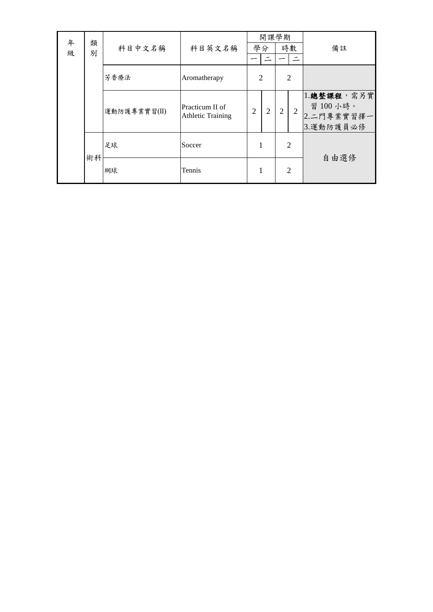| 年<br>級 | 類<br>別 | 科目中文名稱       | 科目英文名稱                                      | 開課學期<br>學分     |                |                | 時數             | 備註                                                 |
|--------|--------|--------------|---------------------------------------------|----------------|----------------|----------------|----------------|----------------------------------------------------|
|        |        | 芳香療法         | Aromatherapy                                | $\overline{2}$ |                |                | $\overline{2}$ |                                                    |
|        |        | 運動防護專業實習(II) | Practicum II of<br><b>Athletic Training</b> | $\overline{2}$ | $\overline{2}$ | $\overline{2}$ | 2              | 1.總整課程,需另實<br>習 100 小時。<br>2.二門專業實習擇一<br>3.運動防護員必修 |
|        | 術科     | 足球           | Soccer                                      | 1              |                | $\overline{2}$ |                | 自由選修                                               |
|        |        | 網球<br>Tennis |                                             | 1              |                | $\overline{2}$ |                |                                                    |